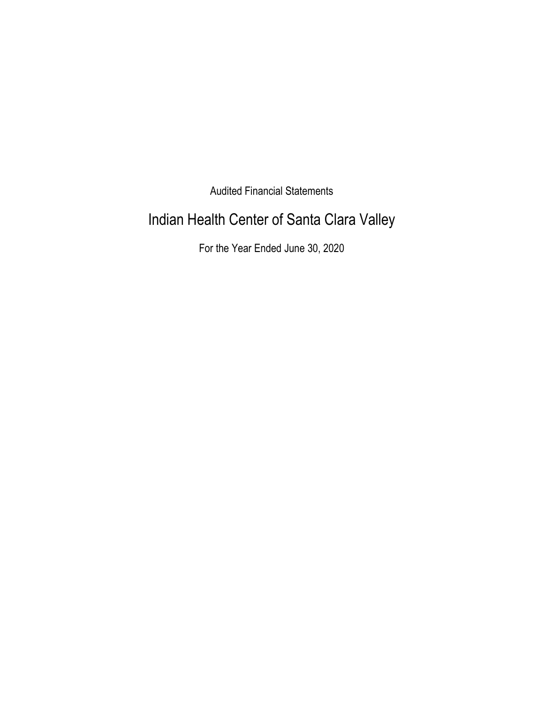Audited Financial Statements

# Indian Health Center of Santa Clara Valley

For the Year Ended June 30, 2020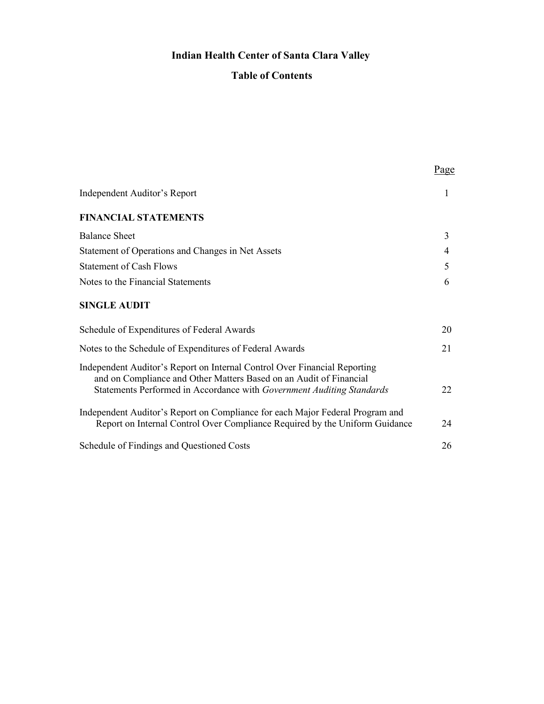# **Indian Health Center of Santa Clara Valley**

# **Table of Contents**

|                                                                                                                                                                                                                          | Page |
|--------------------------------------------------------------------------------------------------------------------------------------------------------------------------------------------------------------------------|------|
| <b>Independent Auditor's Report</b>                                                                                                                                                                                      | 1    |
| <b>FINANCIAL STATEMENTS</b>                                                                                                                                                                                              |      |
| <b>Balance Sheet</b>                                                                                                                                                                                                     | 3    |
| Statement of Operations and Changes in Net Assets                                                                                                                                                                        | 4    |
| <b>Statement of Cash Flows</b>                                                                                                                                                                                           | 5    |
| Notes to the Financial Statements                                                                                                                                                                                        | 6    |
| <b>SINGLE AUDIT</b>                                                                                                                                                                                                      |      |
| Schedule of Expenditures of Federal Awards                                                                                                                                                                               | 20   |
| Notes to the Schedule of Expenditures of Federal Awards                                                                                                                                                                  | 21   |
| Independent Auditor's Report on Internal Control Over Financial Reporting<br>and on Compliance and Other Matters Based on an Audit of Financial<br>Statements Performed in Accordance with Government Auditing Standards | 22   |
| Independent Auditor's Report on Compliance for each Major Federal Program and<br>Report on Internal Control Over Compliance Required by the Uniform Guidance                                                             | 24   |
| Schedule of Findings and Questioned Costs                                                                                                                                                                                | 26   |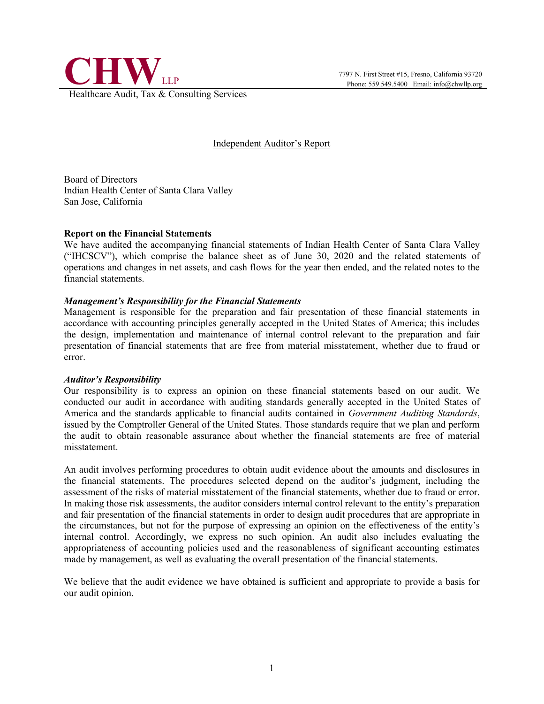

#### Independent Auditor's Report

Board of Directors Indian Health Center of Santa Clara Valley San Jose, California

#### **Report on the Financial Statements**

We have audited the accompanying financial statements of Indian Health Center of Santa Clara Valley ("IHCSCV"), which comprise the balance sheet as of June 30, 2020 and the related statements of operations and changes in net assets, and cash flows for the year then ended, and the related notes to the financial statements.

#### *Management's Responsibility for the Financial Statements*

Management is responsible for the preparation and fair presentation of these financial statements in accordance with accounting principles generally accepted in the United States of America; this includes the design, implementation and maintenance of internal control relevant to the preparation and fair presentation of financial statements that are free from material misstatement, whether due to fraud or error.

#### *Auditor's Responsibility*

Our responsibility is to express an opinion on these financial statements based on our audit. We conducted our audit in accordance with auditing standards generally accepted in the United States of America and the standards applicable to financial audits contained in *Government Auditing Standards*, issued by the Comptroller General of the United States. Those standards require that we plan and perform the audit to obtain reasonable assurance about whether the financial statements are free of material misstatement.

An audit involves performing procedures to obtain audit evidence about the amounts and disclosures in the financial statements. The procedures selected depend on the auditor's judgment, including the assessment of the risks of material misstatement of the financial statements, whether due to fraud or error. In making those risk assessments, the auditor considers internal control relevant to the entity's preparation and fair presentation of the financial statements in order to design audit procedures that are appropriate in the circumstances, but not for the purpose of expressing an opinion on the effectiveness of the entity's internal control. Accordingly, we express no such opinion. An audit also includes evaluating the appropriateness of accounting policies used and the reasonableness of significant accounting estimates made by management, as well as evaluating the overall presentation of the financial statements.

We believe that the audit evidence we have obtained is sufficient and appropriate to provide a basis for our audit opinion.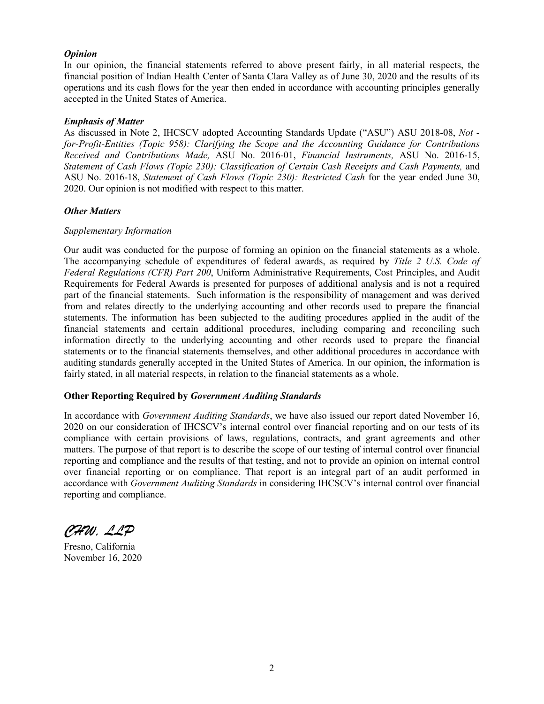#### *Opinion*

In our opinion, the financial statements referred to above present fairly, in all material respects, the financial position of Indian Health Center of Santa Clara Valley as of June 30, 2020 and the results of its operations and its cash flows for the year then ended in accordance with accounting principles generally accepted in the United States of America.

#### *Emphasis of Matter*

As discussed in Note 2, IHCSCV adopted Accounting Standards Update ("ASU") ASU 2018-08, *Not for-Profit-Entities (Topic 958): Clarifying the Scope and the Accounting Guidance for Contributions Received and Contributions Made,* ASU No. 2016-01, *Financial Instruments,* ASU No. 2016-15, *Statement of Cash Flows (Topic 230): Classification of Certain Cash Receipts and Cash Payments, and* ASU No. 2016-18, *Statement of Cash Flows (Topic 230): Restricted Cash* for the year ended June 30, 2020. Our opinion is not modified with respect to this matter.

#### *Other Matters*

#### *Supplementary Information*

Our audit was conducted for the purpose of forming an opinion on the financial statements as a whole. The accompanying schedule of expenditures of federal awards, as required by *Title 2 U.S. Code of Federal Regulations (CFR) Part 200*, Uniform Administrative Requirements, Cost Principles, and Audit Requirements for Federal Awards is presented for purposes of additional analysis and is not a required part of the financial statements. Such information is the responsibility of management and was derived from and relates directly to the underlying accounting and other records used to prepare the financial statements. The information has been subjected to the auditing procedures applied in the audit of the financial statements and certain additional procedures, including comparing and reconciling such information directly to the underlying accounting and other records used to prepare the financial statements or to the financial statements themselves, and other additional procedures in accordance with auditing standards generally accepted in the United States of America. In our opinion, the information is fairly stated, in all material respects, in relation to the financial statements as a whole.

#### **Other Reporting Required by** *Government Auditing Standards*

In accordance with *Government Auditing Standards*, we have also issued our report dated November 16, 2020 on our consideration of IHCSCV's internal control over financial reporting and on our tests of its compliance with certain provisions of laws, regulations, contracts, and grant agreements and other matters. The purpose of that report is to describe the scope of our testing of internal control over financial reporting and compliance and the results of that testing, and not to provide an opinion on internal control over financial reporting or on compliance. That report is an integral part of an audit performed in accordance with *Government Auditing Standards* in considering IHCSCV's internal control over financial reporting and compliance.

*CHW, LLP*

Fresno, California November 16, 2020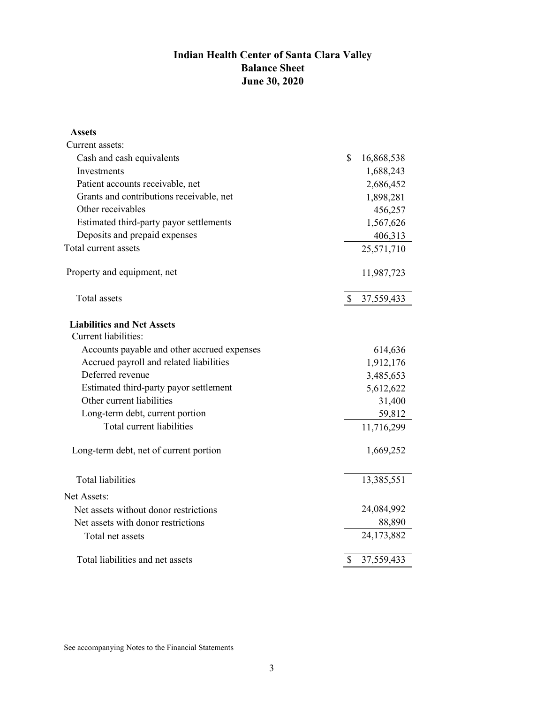# **Indian Health Center of Santa Clara Valley Balance Sheet June 30, 2020**

| Assets                                                    |              |            |
|-----------------------------------------------------------|--------------|------------|
| Current assets:                                           |              |            |
| Cash and cash equivalents                                 | $\mathbb{S}$ | 16,868,538 |
| Investments                                               |              | 1,688,243  |
| Patient accounts receivable, net                          |              | 2,686,452  |
| Grants and contributions receivable, net                  |              | 1,898,281  |
| Other receivables                                         |              | 456,257    |
| Estimated third-party payor settlements                   |              | 1,567,626  |
| Deposits and prepaid expenses                             |              | 406,313    |
| Total current assets                                      |              | 25,571,710 |
| Property and equipment, net                               |              | 11,987,723 |
| Total assets                                              | $\mathbb{S}$ | 37,559,433 |
| <b>Liabilities and Net Assets</b><br>Current liabilities: |              |            |
| Accounts payable and other accrued expenses               |              | 614,636    |
| Accrued payroll and related liabilities                   |              | 1,912,176  |
| Deferred revenue                                          |              | 3,485,653  |
| Estimated third-party payor settlement                    |              | 5,612,622  |
| Other current liabilities                                 |              | 31,400     |
| Long-term debt, current portion                           |              | 59,812     |
| Total current liabilities                                 |              | 11,716,299 |
| Long-term debt, net of current portion                    |              | 1,669,252  |
| <b>Total liabilities</b>                                  |              | 13,385,551 |
| Net Assets:                                               |              |            |
| Net assets without donor restrictions                     |              | 24,084,992 |
| Net assets with donor restrictions                        |              | 88,890     |
| Total net assets                                          |              | 24,173,882 |
| Total liabilities and net assets                          | \$           | 37,559,433 |

See accompanying Notes to the Financial Statements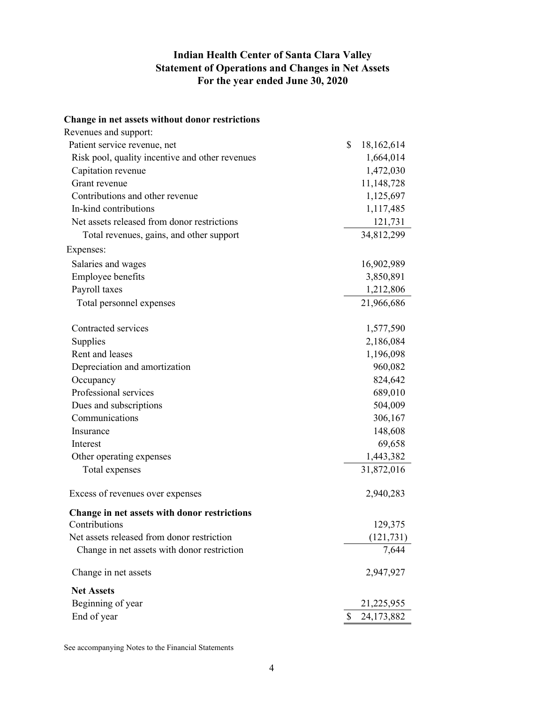# **Indian Health Center of Santa Clara Valley Statement of Operations and Changes in Net Assets For the year ended June 30, 2020**

| Change in net assets without donor restrictions |                  |
|-------------------------------------------------|------------------|
| Revenues and support:                           |                  |
| Patient service revenue, net                    | \$<br>18,162,614 |
| Risk pool, quality incentive and other revenues | 1,664,014        |
| Capitation revenue                              | 1,472,030        |
| Grant revenue                                   | 11,148,728       |
| Contributions and other revenue                 | 1,125,697        |
| In-kind contributions                           | 1,117,485        |
| Net assets released from donor restrictions     | 121,731          |
| Total revenues, gains, and other support        | 34,812,299       |
| Expenses:                                       |                  |
| Salaries and wages                              | 16,902,989       |
| <b>Employee benefits</b>                        | 3,850,891        |
| Payroll taxes                                   | 1,212,806        |
| Total personnel expenses                        | 21,966,686       |
| Contracted services                             | 1,577,590        |
| Supplies                                        | 2,186,084        |
| Rent and leases                                 | 1,196,098        |
| Depreciation and amortization                   | 960,082          |
| Occupancy                                       | 824,642          |
| Professional services                           | 689,010          |
| Dues and subscriptions                          | 504,009          |
| Communications                                  | 306,167          |
| Insurance                                       | 148,608          |
| Interest                                        | 69,658           |
| Other operating expenses                        | 1,443,382        |
| Total expenses                                  | 31,872,016       |
| Excess of revenues over expenses                | 2,940,283        |
| Change in net assets with donor restrictions    |                  |
| Contributions                                   | 129,375          |
| Net assets released from donor restriction      | (121, 731)       |
| Change in net assets with donor restriction     | 7,644            |
| Change in net assets                            | 2,947,927        |
| <b>Net Assets</b>                               |                  |
| Beginning of year                               | 21,225,955       |
| End of year                                     | \$<br>24,173,882 |

See accompanying Notes to the Financial Statements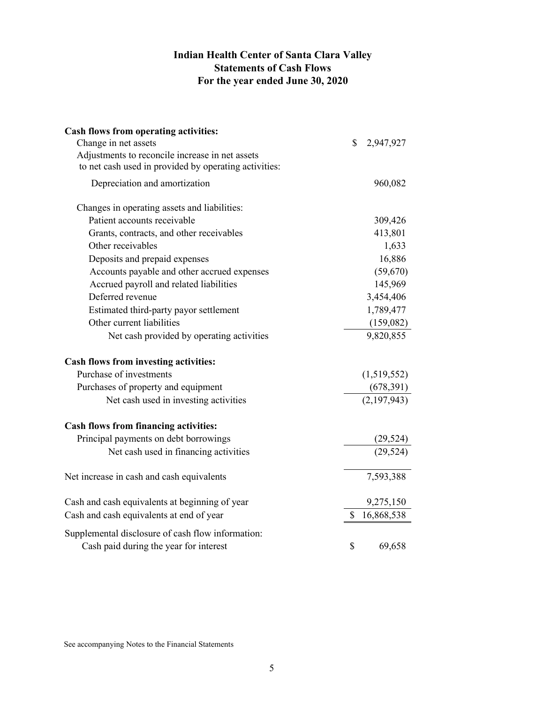# **Indian Health Center of Santa Clara Valley Statements of Cash Flows For the year ended June 30, 2020**

| Cash flows from operating activities:                                                       |                  |
|---------------------------------------------------------------------------------------------|------------------|
| Change in net assets                                                                        | \$<br>2,947,927  |
| Adjustments to reconcile increase in net assets                                             |                  |
| to net cash used in provided by operating activities:                                       |                  |
| Depreciation and amortization                                                               | 960,082          |
| Changes in operating assets and liabilities:                                                |                  |
| Patient accounts receivable                                                                 | 309,426          |
| Grants, contracts, and other receivables                                                    | 413,801          |
| Other receivables                                                                           | 1,633            |
| Deposits and prepaid expenses                                                               | 16,886           |
| Accounts payable and other accrued expenses                                                 | (59,670)         |
| Accrued payroll and related liabilities                                                     | 145,969          |
| Deferred revenue                                                                            | 3,454,406        |
| Estimated third-party payor settlement                                                      | 1,789,477        |
| Other current liabilities                                                                   | (159,082)        |
| Net cash provided by operating activities                                                   | 9,820,855        |
| Cash flows from investing activities:                                                       |                  |
| Purchase of investments                                                                     | (1,519,552)      |
| Purchases of property and equipment                                                         | (678,391)        |
| Net cash used in investing activities                                                       | (2,197,943)      |
| <b>Cash flows from financing activities:</b>                                                |                  |
| Principal payments on debt borrowings                                                       | (29, 524)        |
| Net cash used in financing activities                                                       | (29, 524)        |
| Net increase in cash and cash equivalents                                                   | 7,593,388        |
| Cash and cash equivalents at beginning of year                                              | 9,275,150        |
| Cash and cash equivalents at end of year                                                    | \$<br>16,868,538 |
| Supplemental disclosure of cash flow information:<br>Cash paid during the year for interest | \$<br>69,658     |

See accompanying Notes to the Financial Statements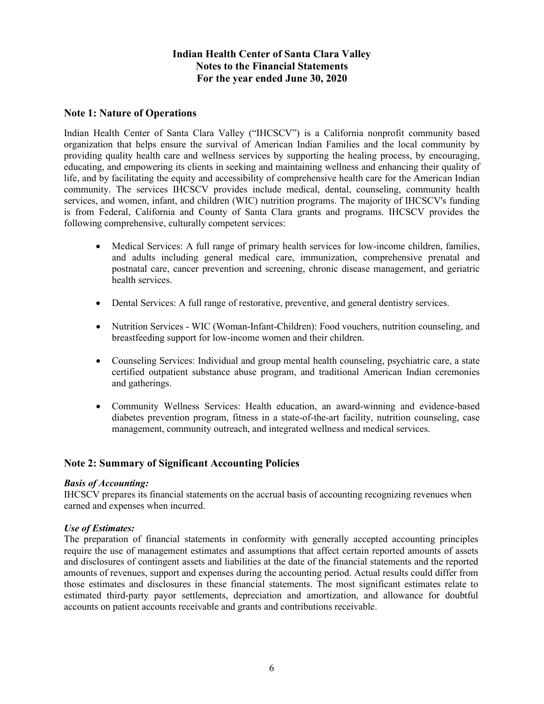## **Note 1: Nature of Operations**

Indian Health Center of Santa Clara Valley ("IHCSCV") is a California nonprofit community based organization that helps ensure the survival of American Indian Families and the local community by providing quality health care and wellness services by supporting the healing process, by encouraging, educating, and empowering its clients in seeking and maintaining wellness and enhancing their quality of life, and by facilitating the equity and accessibility of comprehensive health care for the American Indian community. The services IHCSCV provides include medical, dental, counseling, community health services, and women, infant, and children (WIC) nutrition programs. The majority of IHCSCV's funding is from Federal, California and County of Santa Clara grants and programs. IHCSCV provides the following comprehensive, culturally competent services:

- Medical Services: A full range of primary health services for low-income children, families, and adults including general medical care, immunization, comprehensive prenatal and postnatal care, cancer prevention and screening, chronic disease management, and geriatric health services.
- Dental Services: A full range of restorative, preventive, and general dentistry services.
- Nutrition Services WIC (Woman-Infant-Children): Food vouchers, nutrition counseling, and breastfeeding support for low-income women and their children.
- Counseling Services: Individual and group mental health counseling, psychiatric care, a state certified outpatient substance abuse program, and traditional American Indian ceremonies and gatherings.
- Community Wellness Services: Health education, an award-winning and evidence-based diabetes prevention program, fitness in a state-of-the-art facility, nutrition counseling, case management, community outreach, and integrated wellness and medical services.

# **Note 2: Summary of Significant Accounting Policies**

#### *Basis of Accounting:*

IHCSCV prepares its financial statements on the accrual basis of accounting recognizing revenues when earned and expenses when incurred.

#### *Use of Estimates:*

The preparation of financial statements in conformity with generally accepted accounting principles require the use of management estimates and assumptions that affect certain reported amounts of assets and disclosures of contingent assets and liabilities at the date of the financial statements and the reported amounts of revenues, support and expenses during the accounting period. Actual results could differ from those estimates and disclosures in these financial statements. The most significant estimates relate to estimated third-party payor settlements, depreciation and amortization, and allowance for doubtful accounts on patient accounts receivable and grants and contributions receivable.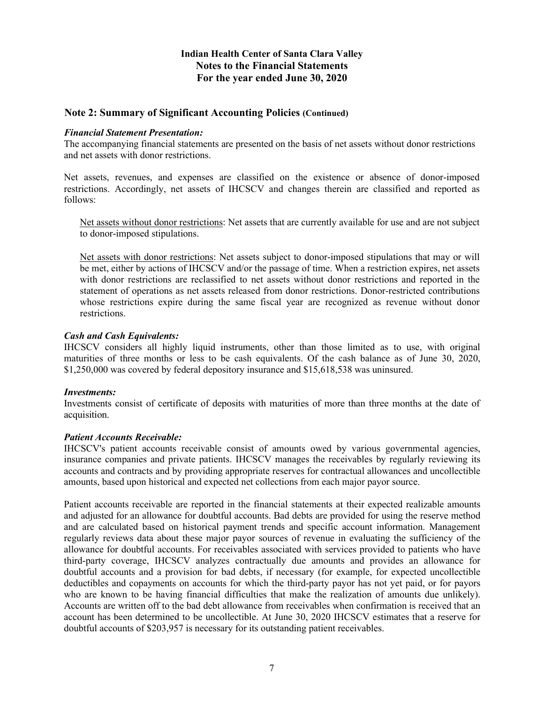#### **Note 2: Summary of Significant Accounting Policies (Continued)**

#### *Financial Statement Presentation:*

The accompanying financial statements are presented on the basis of net assets without donor restrictions and net assets with donor restrictions.

Net assets, revenues, and expenses are classified on the existence or absence of donor-imposed restrictions. Accordingly, net assets of IHCSCV and changes therein are classified and reported as follows:

Net assets without donor restrictions: Net assets that are currently available for use and are not subject to donor-imposed stipulations.

Net assets with donor restrictions: Net assets subject to donor-imposed stipulations that may or will be met, either by actions of IHCSCV and/or the passage of time. When a restriction expires, net assets with donor restrictions are reclassified to net assets without donor restrictions and reported in the statement of operations as net assets released from donor restrictions. Donor-restricted contributions whose restrictions expire during the same fiscal year are recognized as revenue without donor restrictions.

#### *Cash and Cash Equivalents:*

IHCSCV considers all highly liquid instruments, other than those limited as to use, with original maturities of three months or less to be cash equivalents. Of the cash balance as of June 30, 2020, \$1,250,000 was covered by federal depository insurance and \$15,618,538 was uninsured.

#### *Investments:*

Investments consist of certificate of deposits with maturities of more than three months at the date of acquisition.

#### *Patient Accounts Receivable:*

IHCSCV's patient accounts receivable consist of amounts owed by various governmental agencies, insurance companies and private patients. IHCSCV manages the receivables by regularly reviewing its accounts and contracts and by providing appropriate reserves for contractual allowances and uncollectible amounts, based upon historical and expected net collections from each major payor source.

Patient accounts receivable are reported in the financial statements at their expected realizable amounts and adjusted for an allowance for doubtful accounts. Bad debts are provided for using the reserve method and are calculated based on historical payment trends and specific account information. Management regularly reviews data about these major payor sources of revenue in evaluating the sufficiency of the allowance for doubtful accounts. For receivables associated with services provided to patients who have third-party coverage, IHCSCV analyzes contractually due amounts and provides an allowance for doubtful accounts and a provision for bad debts, if necessary (for example, for expected uncollectible deductibles and copayments on accounts for which the third-party payor has not yet paid, or for payors who are known to be having financial difficulties that make the realization of amounts due unlikely). Accounts are written off to the bad debt allowance from receivables when confirmation is received that an account has been determined to be uncollectible. At June 30, 2020 IHCSCV estimates that a reserve for doubtful accounts of \$203,957 is necessary for its outstanding patient receivables.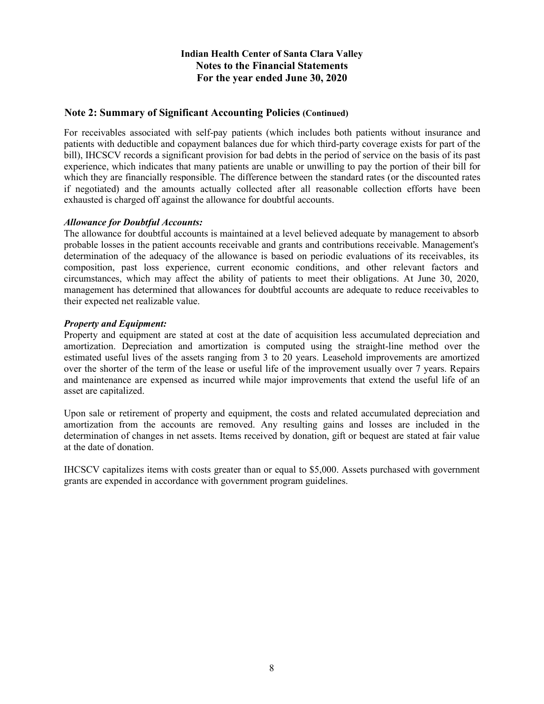## **Note 2: Summary of Significant Accounting Policies (Continued)**

For receivables associated with self-pay patients (which includes both patients without insurance and patients with deductible and copayment balances due for which third-party coverage exists for part of the bill), IHCSCV records a significant provision for bad debts in the period of service on the basis of its past experience, which indicates that many patients are unable or unwilling to pay the portion of their bill for which they are financially responsible. The difference between the standard rates (or the discounted rates if negotiated) and the amounts actually collected after all reasonable collection efforts have been exhausted is charged off against the allowance for doubtful accounts.

#### *Allowance for Doubtful Accounts:*

The allowance for doubtful accounts is maintained at a level believed adequate by management to absorb probable losses in the patient accounts receivable and grants and contributions receivable. Management's determination of the adequacy of the allowance is based on periodic evaluations of its receivables, its composition, past loss experience, current economic conditions, and other relevant factors and circumstances, which may affect the ability of patients to meet their obligations. At June 30, 2020, management has determined that allowances for doubtful accounts are adequate to reduce receivables to their expected net realizable value.

#### *Property and Equipment:*

Property and equipment are stated at cost at the date of acquisition less accumulated depreciation and amortization. Depreciation and amortization is computed using the straight-line method over the estimated useful lives of the assets ranging from 3 to 20 years. Leasehold improvements are amortized over the shorter of the term of the lease or useful life of the improvement usually over 7 years. Repairs and maintenance are expensed as incurred while major improvements that extend the useful life of an asset are capitalized.

Upon sale or retirement of property and equipment, the costs and related accumulated depreciation and amortization from the accounts are removed. Any resulting gains and losses are included in the determination of changes in net assets. Items received by donation, gift or bequest are stated at fair value at the date of donation.

IHCSCV capitalizes items with costs greater than or equal to \$5,000. Assets purchased with government grants are expended in accordance with government program guidelines.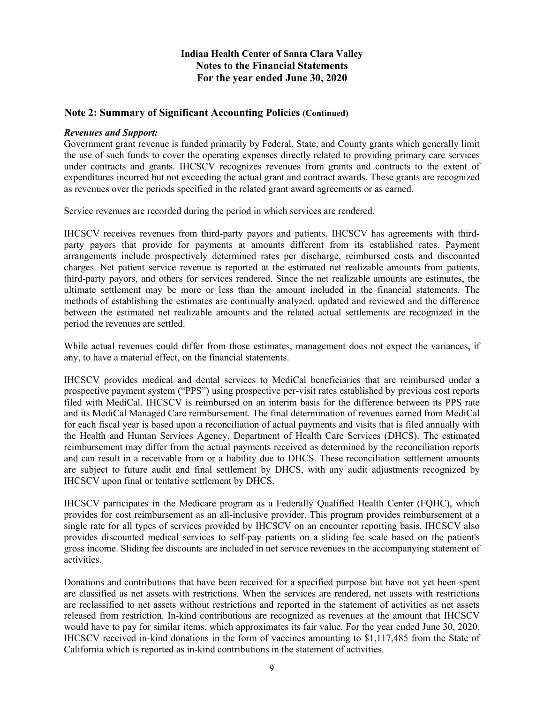#### **Note 2: Summary of Significant Accounting Policies (Continued)**

#### *Revenues and Support:*

Government grant revenue is funded primarily by Federal, State, and County grants which generally limit the use of such funds to cover the operating expenses directly related to providing primary care services under contracts and grants. IHCSCV recognizes revenues from grants and contracts to the extent of expenditures incurred but not exceeding the actual grant and contract awards. These grants are recognized as revenues over the periods specified in the related grant award agreements or as earned.

Service revenues are recorded during the period in which services are rendered.

IHCSCV receives revenues from third-party payors and patients. IHCSCV has agreements with thirdparty payors that provide for payments at amounts different from its established rates. Payment arrangements include prospectively determined rates per discharge, reimbursed costs and discounted charges. Net patient service revenue is reported at the estimated net realizable amounts from patients, third-party payors, and others for services rendered. Since the net realizable amounts are estimates, the ultimate settlement may be more or less than the amount included in the financial statements. The methods of establishing the estimates are continually analyzed, updated and reviewed and the difference between the estimated net realizable amounts and the related actual settlements are recognized in the period the revenues are settled.

While actual revenues could differ from those estimates, management does not expect the variances, if any, to have a material effect, on the financial statements.

IHCSCV provides medical and dental services to MediCal beneficiaries that are reimbursed under a prospective payment system ("PPS") using prospective per-visit rates established by previous cost reports filed with MediCal. IHCSCV is reimbursed on an interim basis for the difference between its PPS rate and its MediCal Managed Care reimbursement. The final determination of revenues earned from MediCal for each fiscal year is based upon a reconciliation of actual payments and visits that is filed annually with the Health and Human Services Agency, Department of Health Care Services (DHCS). The estimated reimbursement may differ from the actual payments received as determined by the reconciliation reports and can result in a receivable from or a liability due to DHCS. These reconciliation settlement amounts are subject to future audit and final settlement by DHCS, with any audit adjustments recognized by IHCSCV upon final or tentative settlement by DHCS.

IHCSCV participates in the Medicare program as a Federally Qualified Health Center (FQHC), which provides for cost reimbursement as an all-inclusive provider. This program provides reimbursement at a single rate for all types of services provided by IHCSCV on an encounter reporting basis. IHCSCV also provides discounted medical services to self-pay patients on a sliding fee scale based on the patient's gross income. Sliding fee discounts are included in net service revenues in the accompanying statement of activities.

Donations and contributions that have been received for a specified purpose but have not yet been spent are classified as net assets with restrictions. When the services are rendered, net assets with restrictions are reclassified to net assets without restrictions and reported in the statement of activities as net assets released from restriction. In-kind contributions are recognized as revenues at the amount that IHCSCV would have to pay for similar items, which approximates its fair value. For the year ended June 30, 2020, IHCSCV received in-kind donations in the form of vaccines amounting to \$1,117,485 from the State of California which is reported as in-kind contributions in the statement of activities.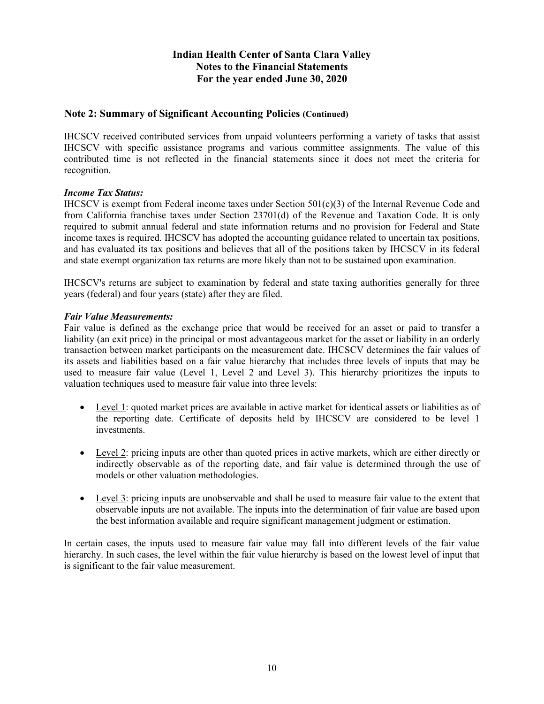# **Note 2: Summary of Significant Accounting Policies (Continued)**

IHCSCV received contributed services from unpaid volunteers performing a variety of tasks that assist IHCSCV with specific assistance programs and various committee assignments. The value of this contributed time is not reflected in the financial statements since it does not meet the criteria for recognition.

#### *Income Tax Status:*

IHCSCV is exempt from Federal income taxes under Section 501(c)(3) of the Internal Revenue Code and from California franchise taxes under Section 23701(d) of the Revenue and Taxation Code. It is only required to submit annual federal and state information returns and no provision for Federal and State income taxes is required. IHCSCV has adopted the accounting guidance related to uncertain tax positions, and has evaluated its tax positions and believes that all of the positions taken by IHCSCV in its federal and state exempt organization tax returns are more likely than not to be sustained upon examination.

IHCSCV's returns are subject to examination by federal and state taxing authorities generally for three years (federal) and four years (state) after they are filed.

#### *Fair Value Measurements:*

Fair value is defined as the exchange price that would be received for an asset or paid to transfer a liability (an exit price) in the principal or most advantageous market for the asset or liability in an orderly transaction between market participants on the measurement date. IHCSCV determines the fair values of its assets and liabilities based on a fair value hierarchy that includes three levels of inputs that may be used to measure fair value (Level 1, Level 2 and Level 3). This hierarchy prioritizes the inputs to valuation techniques used to measure fair value into three levels:

- Level 1: quoted market prices are available in active market for identical assets or liabilities as of the reporting date. Certificate of deposits held by IHCSCV are considered to be level 1 investments.
- Level 2: pricing inputs are other than quoted prices in active markets, which are either directly or indirectly observable as of the reporting date, and fair value is determined through the use of models or other valuation methodologies.
- Level 3: pricing inputs are unobservable and shall be used to measure fair value to the extent that observable inputs are not available. The inputs into the determination of fair value are based upon the best information available and require significant management judgment or estimation.

In certain cases, the inputs used to measure fair value may fall into different levels of the fair value hierarchy. In such cases, the level within the fair value hierarchy is based on the lowest level of input that is significant to the fair value measurement.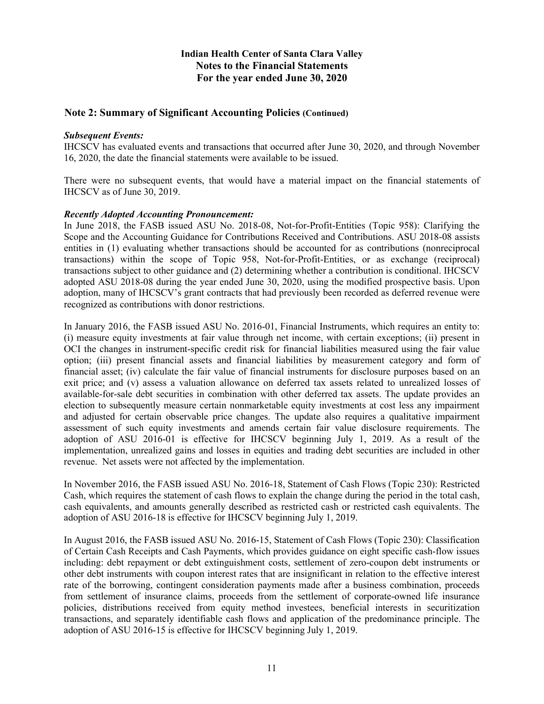## **Note 2: Summary of Significant Accounting Policies (Continued)**

#### *Subsequent Events:*

IHCSCV has evaluated events and transactions that occurred after June 30, 2020, and through November 16, 2020, the date the financial statements were available to be issued.

There were no subsequent events, that would have a material impact on the financial statements of IHCSCV as of June 30, 2019.

#### *Recently Adopted Accounting Pronouncement:*

In June 2018, the FASB issued ASU No. 2018-08, Not-for-Profit-Entities (Topic 958): Clarifying the Scope and the Accounting Guidance for Contributions Received and Contributions. ASU 2018-08 assists entities in (1) evaluating whether transactions should be accounted for as contributions (nonreciprocal transactions) within the scope of Topic 958, Not-for-Profit-Entities, or as exchange (reciprocal) transactions subject to other guidance and (2) determining whether a contribution is conditional. IHCSCV adopted ASU 2018-08 during the year ended June 30, 2020, using the modified prospective basis. Upon adoption, many of IHCSCV's grant contracts that had previously been recorded as deferred revenue were recognized as contributions with donor restrictions.

In January 2016, the FASB issued ASU No. 2016-01, Financial Instruments, which requires an entity to: (i) measure equity investments at fair value through net income, with certain exceptions; (ii) present in OCI the changes in instrument-specific credit risk for financial liabilities measured using the fair value option; (iii) present financial assets and financial liabilities by measurement category and form of financial asset; (iv) calculate the fair value of financial instruments for disclosure purposes based on an exit price; and (v) assess a valuation allowance on deferred tax assets related to unrealized losses of available-for-sale debt securities in combination with other deferred tax assets. The update provides an election to subsequently measure certain nonmarketable equity investments at cost less any impairment and adjusted for certain observable price changes. The update also requires a qualitative impairment assessment of such equity investments and amends certain fair value disclosure requirements. The adoption of ASU 2016-01 is effective for IHCSCV beginning July 1, 2019. As a result of the implementation, unrealized gains and losses in equities and trading debt securities are included in other revenue. Net assets were not affected by the implementation.

In November 2016, the FASB issued ASU No. 2016-18, Statement of Cash Flows (Topic 230): Restricted Cash, which requires the statement of cash flows to explain the change during the period in the total cash, cash equivalents, and amounts generally described as restricted cash or restricted cash equivalents. The adoption of ASU 2016-18 is effective for IHCSCV beginning July 1, 2019.

In August 2016, the FASB issued ASU No. 2016-15, Statement of Cash Flows (Topic 230): Classification of Certain Cash Receipts and Cash Payments, which provides guidance on eight specific cash-flow issues including: debt repayment or debt extinguishment costs, settlement of zero-coupon debt instruments or other debt instruments with coupon interest rates that are insignificant in relation to the effective interest rate of the borrowing, contingent consideration payments made after a business combination, proceeds from settlement of insurance claims, proceeds from the settlement of corporate-owned life insurance policies, distributions received from equity method investees, beneficial interests in securitization transactions, and separately identifiable cash flows and application of the predominance principle. The adoption of ASU 2016-15 is effective for IHCSCV beginning July 1, 2019.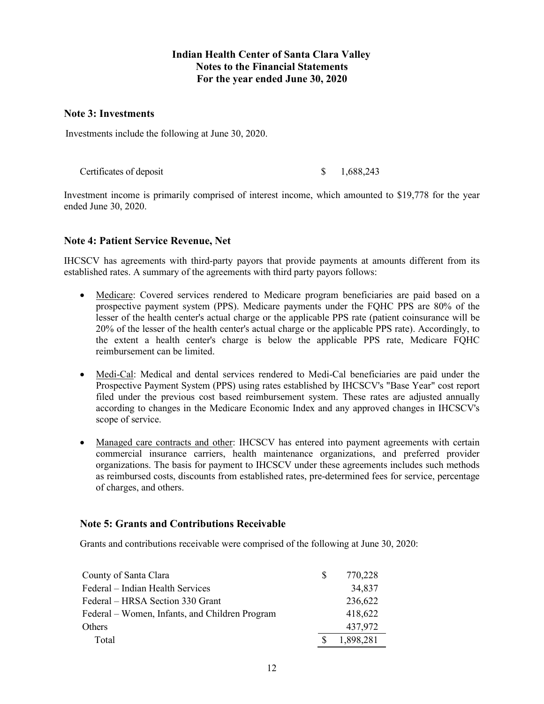#### **Note 3: Investments**

Investments include the following at June 30, 2020.

Certificates of deposit  $\qquad$  \$ 1,688,243

Investment income is primarily comprised of interest income, which amounted to \$19,778 for the year ended June 30, 2020.

# **Note 4: Patient Service Revenue, Net**

IHCSCV has agreements with third-party payors that provide payments at amounts different from its established rates. A summary of the agreements with third party payors follows:

- Medicare: Covered services rendered to Medicare program beneficiaries are paid based on a prospective payment system (PPS). Medicare payments under the FQHC PPS are 80% of the lesser of the health center's actual charge or the applicable PPS rate (patient coinsurance will be 20% of the lesser of the health center's actual charge or the applicable PPS rate). Accordingly, to the extent a health center's charge is below the applicable PPS rate, Medicare FQHC reimbursement can be limited.
- Medi-Cal: Medical and dental services rendered to Medi-Cal beneficiaries are paid under the Prospective Payment System (PPS) using rates established by IHCSCV's "Base Year" cost report filed under the previous cost based reimbursement system. These rates are adjusted annually according to changes in the Medicare Economic Index and any approved changes in IHCSCV's scope of service.
- Managed care contracts and other: IHCSCV has entered into payment agreements with certain commercial insurance carriers, health maintenance organizations, and preferred provider organizations. The basis for payment to IHCSCV under these agreements includes such methods as reimbursed costs, discounts from established rates, pre-determined fees for service, percentage of charges, and others.

# **Note 5: Grants and Contributions Receivable**

Grants and contributions receivable were comprised of the following at June 30, 2020:

| County of Santa Clara                          | S. | 770,228   |
|------------------------------------------------|----|-----------|
| Federal – Indian Health Services               |    | 34,837    |
| Federal – HRSA Section 330 Grant               |    | 236,622   |
| Federal – Women, Infants, and Children Program |    | 418,622   |
| <b>Others</b>                                  |    | 437,972   |
| Total                                          |    | 1,898,281 |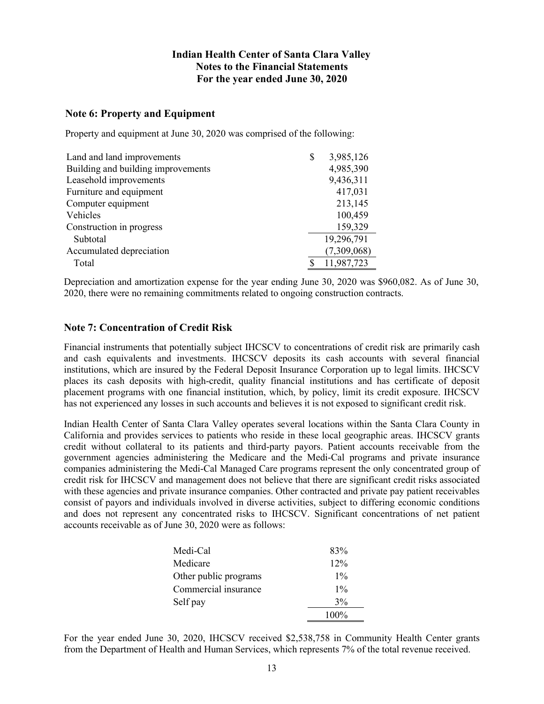# **Note 6: Property and Equipment**

Property and equipment at June 30, 2020 was comprised of the following:

| Land and land improvements         | \$<br>3,985,126 |
|------------------------------------|-----------------|
| Building and building improvements | 4,985,390       |
| Leasehold improvements             | 9,436,311       |
| Furniture and equipment            | 417,031         |
| Computer equipment                 | 213,145         |
| Vehicles                           | 100,459         |
| Construction in progress           | 159,329         |
| Subtotal                           | 19,296,791      |
| Accumulated depreciation           | (7,309,068)     |
| Total                              | 11,987,723      |

Depreciation and amortization expense for the year ending June 30, 2020 was \$960,082. As of June 30, 2020, there were no remaining commitments related to ongoing construction contracts.

## **Note 7: Concentration of Credit Risk**

Financial instruments that potentially subject IHCSCV to concentrations of credit risk are primarily cash and cash equivalents and investments. IHCSCV deposits its cash accounts with several financial institutions, which are insured by the Federal Deposit Insurance Corporation up to legal limits. IHCSCV places its cash deposits with high-credit, quality financial institutions and has certificate of deposit placement programs with one financial institution, which, by policy, limit its credit exposure. IHCSCV has not experienced any losses in such accounts and believes it is not exposed to significant credit risk.

Indian Health Center of Santa Clara Valley operates several locations within the Santa Clara County in California and provides services to patients who reside in these local geographic areas. IHCSCV grants credit without collateral to its patients and third-party payors. Patient accounts receivable from the government agencies administering the Medicare and the Medi-Cal programs and private insurance companies administering the Medi-Cal Managed Care programs represent the only concentrated group of credit risk for IHCSCV and management does not believe that there are significant credit risks associated with these agencies and private insurance companies. Other contracted and private pay patient receivables consist of payors and individuals involved in diverse activities, subject to differing economic conditions and does not represent any concentrated risks to IHCSCV. Significant concentrations of net patient accounts receivable as of June 30, 2020 were as follows:

| Medi-Cal              | 83%   |
|-----------------------|-------|
| Medicare              | 12%   |
| Other public programs | $1\%$ |
| Commercial insurance  | $1\%$ |
| Self pay              | $3\%$ |
|                       | 100%  |

For the year ended June 30, 2020, IHCSCV received \$2,538,758 in Community Health Center grants from the Department of Health and Human Services, which represents 7% of the total revenue received.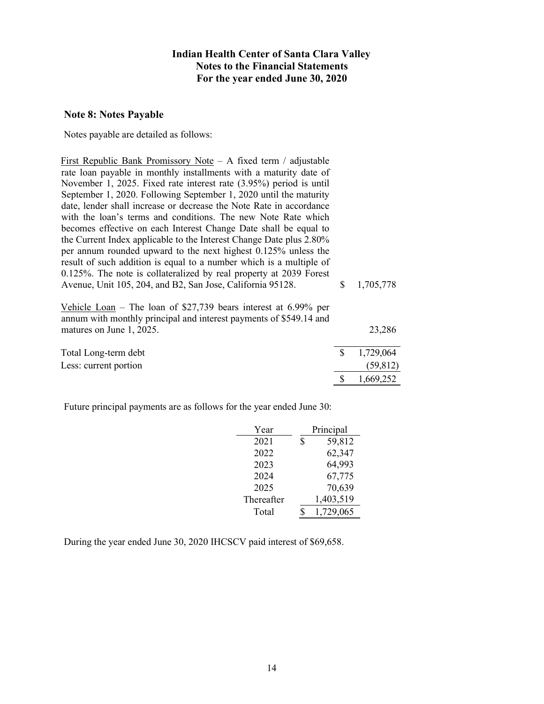#### **Note 8: Notes Payable**

Notes payable are detailed as follows:

First Republic Bank Promissory Note – A fixed term / adjustable rate loan payable in monthly installments with a maturity date of November 1, 2025. Fixed rate interest rate (3.95%) period is until September 1, 2020. Following September 1, 2020 until the maturity date, lender shall increase or decrease the Note Rate in accordance with the loan's terms and conditions. The new Note Rate which becomes effective on each Interest Change Date shall be equal to the Current Index applicable to the Interest Change Date plus 2.80% per annum rounded upward to the next highest 0.125% unless the result of such addition is equal to a number which is a multiple of 0.125%. The note is collateralized by real property at 2039 Forest Avenue, Unit 105, 204, and B2, San Jose, California 95128. \$ 1,705,778

Vehicle Loan – The loan of \$27,739 bears interest at 6.99% per annum with monthly principal and interest payments of \$549.14 and matures on June 1, 2025. 23,286 Total Long-term debt  $\frac{1}{2}$   $\frac{1}{29,064}$ Less: current portion (59,812)

Future principal payments are as follows for the year ended June 30:

| Year       | Principal    |
|------------|--------------|
| 2021       | \$<br>59,812 |
| 2022       | 62,347       |
| 2023       | 64,993       |
| 2024       | 67,775       |
| 2025       | 70,639       |
| Thereafter | 1,403,519    |
| Total      | 1,729,065    |

\$ 1,669,252

During the year ended June 30, 2020 IHCSCV paid interest of \$69,658.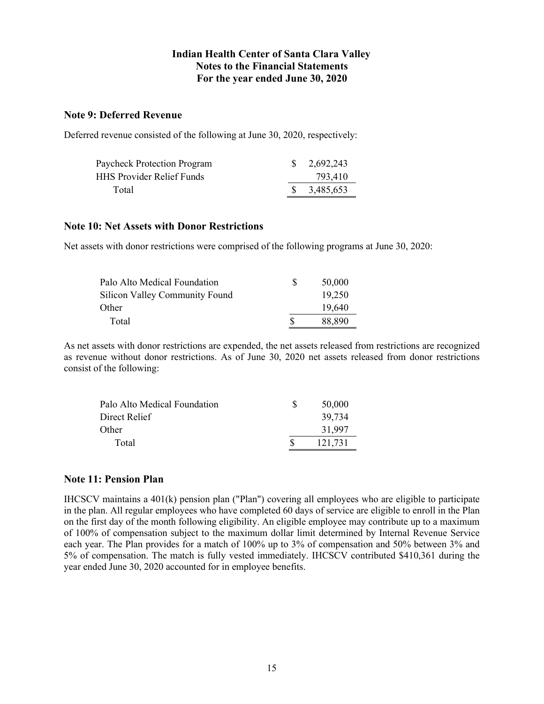# **Note 9: Deferred Revenue**

Deferred revenue consisted of the following at June 30, 2020, respectively:

| Paycheck Protection Program      | $\frac{1}{2}$ , 2,692,243 |
|----------------------------------|---------------------------|
| <b>HHS Provider Relief Funds</b> | 793,410                   |
| Total                            | $\frac{1}{2}$ 3,485,653   |

# **Note 10: Net Assets with Donor Restrictions**

Net assets with donor restrictions were comprised of the following programs at June 30, 2020:

| Palo Alto Medical Foundation          |   | 50,000 |
|---------------------------------------|---|--------|
| <b>Silicon Valley Community Found</b> |   | 19,250 |
| Other                                 |   | 19,640 |
| Total                                 | S | 88,890 |

As net assets with donor restrictions are expended, the net assets released from restrictions are recognized as revenue without donor restrictions. As of June 30, 2020 net assets released from donor restrictions consist of the following:

| Palo Alto Medical Foundation | -S | 50,000  |
|------------------------------|----|---------|
| Direct Relief                |    | 39,734  |
| Other                        |    | 31,997  |
| Total                        |    | 121.731 |

#### **Note 11: Pension Plan**

IHCSCV maintains a 401(k) pension plan ("Plan") covering all employees who are eligible to participate in the plan. All regular employees who have completed 60 days of service are eligible to enroll in the Plan on the first day of the month following eligibility. An eligible employee may contribute up to a maximum of 100% of compensation subject to the maximum dollar limit determined by Internal Revenue Service each year. The Plan provides for a match of 100% up to 3% of compensation and 50% between 3% and 5% of compensation. The match is fully vested immediately. IHCSCV contributed \$410,361 during the year ended June 30, 2020 accounted for in employee benefits.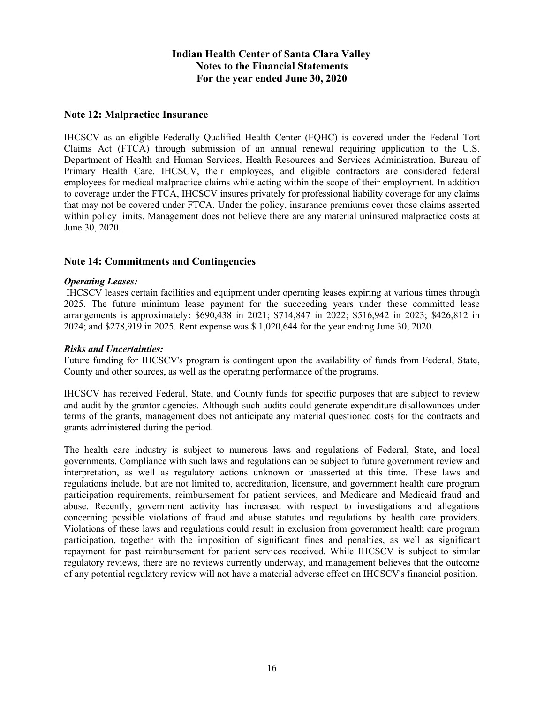## **Note 12: Malpractice Insurance**

IHCSCV as an eligible Federally Qualified Health Center (FQHC) is covered under the Federal Tort Claims Act (FTCA) through submission of an annual renewal requiring application to the U.S. Department of Health and Human Services, Health Resources and Services Administration, Bureau of Primary Health Care. IHCSCV, their employees, and eligible contractors are considered federal employees for medical malpractice claims while acting within the scope of their employment. In addition to coverage under the FTCA, IHCSCV insures privately for professional liability coverage for any claims that may not be covered under FTCA. Under the policy, insurance premiums cover those claims asserted within policy limits. Management does not believe there are any material uninsured malpractice costs at June 30, 2020.

## **Note 14: Commitments and Contingencies**

#### *Operating Leases:*

IHCSCV leases certain facilities and equipment under operating leases expiring at various times through 2025. The future minimum lease payment for the succeeding years under these committed lease arrangements is approximately**:** \$690,438 in 2021; \$714,847 in 2022; \$516,942 in 2023; \$426,812 in 2024; and \$278,919 in 2025. Rent expense was \$ 1,020,644 for the year ending June 30, 2020.

#### *Risks and Uncertainties:*

Future funding for IHCSCV's program is contingent upon the availability of funds from Federal, State, County and other sources, as well as the operating performance of the programs.

IHCSCV has received Federal, State, and County funds for specific purposes that are subject to review and audit by the grantor agencies. Although such audits could generate expenditure disallowances under terms of the grants, management does not anticipate any material questioned costs for the contracts and grants administered during the period.

The health care industry is subject to numerous laws and regulations of Federal, State, and local governments. Compliance with such laws and regulations can be subject to future government review and interpretation, as well as regulatory actions unknown or unasserted at this time. These laws and regulations include, but are not limited to, accreditation, licensure, and government health care program participation requirements, reimbursement for patient services, and Medicare and Medicaid fraud and abuse. Recently, government activity has increased with respect to investigations and allegations concerning possible violations of fraud and abuse statutes and regulations by health care providers. Violations of these laws and regulations could result in exclusion from government health care program participation, together with the imposition of significant fines and penalties, as well as significant repayment for past reimbursement for patient services received. While IHCSCV is subject to similar regulatory reviews, there are no reviews currently underway, and management believes that the outcome of any potential regulatory review will not have a material adverse effect on IHCSCV's financial position.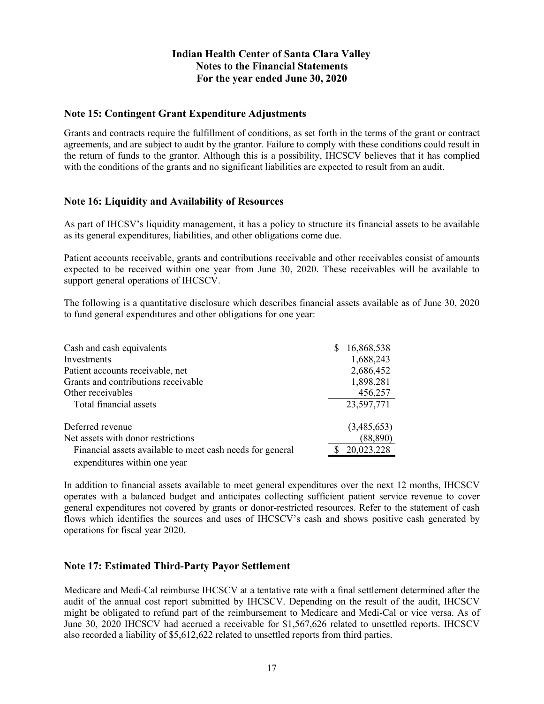# **Note 15: Contingent Grant Expenditure Adjustments**

Grants and contracts require the fulfillment of conditions, as set forth in the terms of the grant or contract agreements, and are subject to audit by the grantor. Failure to comply with these conditions could result in the return of funds to the grantor. Although this is a possibility, IHCSCV believes that it has complied with the conditions of the grants and no significant liabilities are expected to result from an audit.

# **Note 16: Liquidity and Availability of Resources**

As part of IHCSV's liquidity management, it has a policy to structure its financial assets to be available as its general expenditures, liabilities, and other obligations come due.

Patient accounts receivable, grants and contributions receivable and other receivables consist of amounts expected to be received within one year from June 30, 2020. These receivables will be available to support general operations of IHCSCV.

The following is a quantitative disclosure which describes financial assets available as of June 30, 2020 to fund general expenditures and other obligations for one year:

| Cash and cash equivalents                                 | 16,868,538  |
|-----------------------------------------------------------|-------------|
| Investments                                               | 1,688,243   |
| Patient accounts receivable, net                          | 2,686,452   |
| Grants and contributions receivable                       | 1,898,281   |
| Other receivables                                         | 456,257     |
| Total financial assets                                    | 23,597,771  |
| Deferred revenue                                          | (3,485,653) |
| Net assets with donor restrictions                        | (88, 890)   |
| Financial assets available to meet cash needs for general | 20,023,228  |
| expenditures within one year                              |             |

In addition to financial assets available to meet general expenditures over the next 12 months, IHCSCV operates with a balanced budget and anticipates collecting sufficient patient service revenue to cover general expenditures not covered by grants or donor-restricted resources. Refer to the statement of cash flows which identifies the sources and uses of IHCSCV's cash and shows positive cash generated by operations for fiscal year 2020.

# **Note 17: Estimated Third-Party Payor Settlement**

Medicare and Medi-Cal reimburse IHCSCV at a tentative rate with a final settlement determined after the audit of the annual cost report submitted by IHCSCV. Depending on the result of the audit, IHCSCV might be obligated to refund part of the reimbursement to Medicare and Medi-Cal or vice versa. As of June 30, 2020 IHCSCV had accrued a receivable for \$1,567,626 related to unsettled reports. IHCSCV also recorded a liability of \$5,612,622 related to unsettled reports from third parties.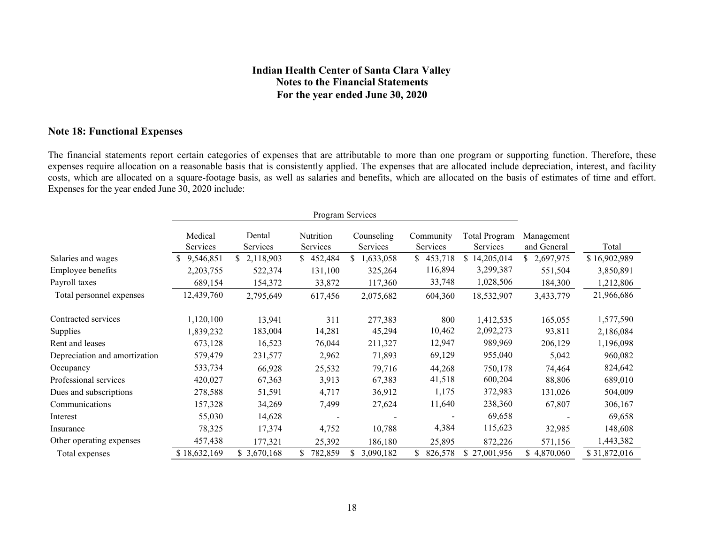## **Note 18: Functional Expenses**

The financial statements report certain categories of expenses that are attributable to more than one program or supporting function. Therefore, these expenses require allocation on a reasonable basis that is consistently applied. The expenses that are allocated include depreciation, interest, and facility costs, which are allocated on a square-footage basis, as well as salaries and benefits, which are allocated on the basis of estimates of time and effort. Expenses for the year ended June 30, 2020 include:

|                               | Program Services    |                    |                       |                        |                       |                                  |                           |              |
|-------------------------------|---------------------|--------------------|-----------------------|------------------------|-----------------------|----------------------------------|---------------------------|--------------|
|                               | Medical<br>Services | Dental<br>Services | Nutrition<br>Services | Counseling<br>Services | Community<br>Services | <b>Total Program</b><br>Services | Management<br>and General | Total        |
| Salaries and wages            | 9,546,851<br>S.     | 2,118,903          | 452,484               | 1,633,058<br>S.        | 453,718<br>S.         | 14,205,014<br><b>S</b>           | \$2,697,975               | \$16,902,989 |
| Employee benefits             | 2,203,755           | 522,374            | 131,100               | 325,264                | 116,894               | 3,299,387                        | 551,504                   | 3,850,891    |
| Payroll taxes                 | 689,154             | 154,372            | 33,872                | 117,360                | 33,748                | 1,028,506                        | 184,300                   | 1,212,806    |
| Total personnel expenses      | 12,439,760          | 2,795,649          | 617,456               | 2,075,682              | 604,360               | 18,532,907                       | 3,433,779                 | 21,966,686   |
| Contracted services           | 1,120,100           | 13,941             | 311                   | 277,383                | 800                   | 1,412,535                        | 165,055                   | 1,577,590    |
| <b>Supplies</b>               | 1,839,232           | 183,004            | 14,281                | 45,294                 | 10,462                | 2,092,273                        | 93,811                    | 2,186,084    |
| Rent and leases               | 673,128             | 16,523             | 76,044                | 211,327                | 12,947                | 989,969                          | 206,129                   | 1,196,098    |
| Depreciation and amortization | 579,479             | 231,577            | 2,962                 | 71,893                 | 69,129                | 955,040                          | 5,042                     | 960,082      |
| Occupancy                     | 533,734             | 66,928             | 25,532                | 79,716                 | 44,268                | 750,178                          | 74,464                    | 824,642      |
| Professional services         | 420,027             | 67,363             | 3,913                 | 67,383                 | 41,518                | 600,204                          | 88,806                    | 689,010      |
| Dues and subscriptions        | 278,588             | 51,591             | 4,717                 | 36,912                 | 1,175                 | 372,983                          | 131,026                   | 504,009      |
| Communications                | 157,328             | 34,269             | 7,499                 | 27,624                 | 11,640                | 238,360                          | 67,807                    | 306,167      |
| Interest                      | 55,030              | 14,628             |                       |                        |                       | 69,658                           |                           | 69,658       |
| Insurance                     | 78,325              | 17,374             | 4,752                 | 10,788                 | 4,384                 | 115,623                          | 32,985                    | 148,608      |
| Other operating expenses      | 457,438             | 177,321            | 25,392                | 186,180                | 25,895                | 872,226                          | 571,156                   | 1,443,382    |
| Total expenses                | \$18,632,169        | \$3,670,168        | 782,859               | \$<br>3,090,182        | \$.<br>826,578        | \$27,001,956                     | \$4,870,060               | \$31,872,016 |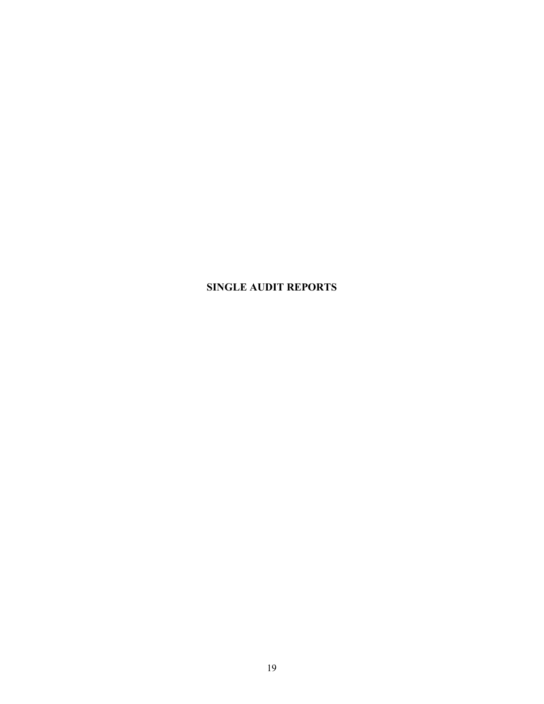# **SINGLE AUDIT REPORTS**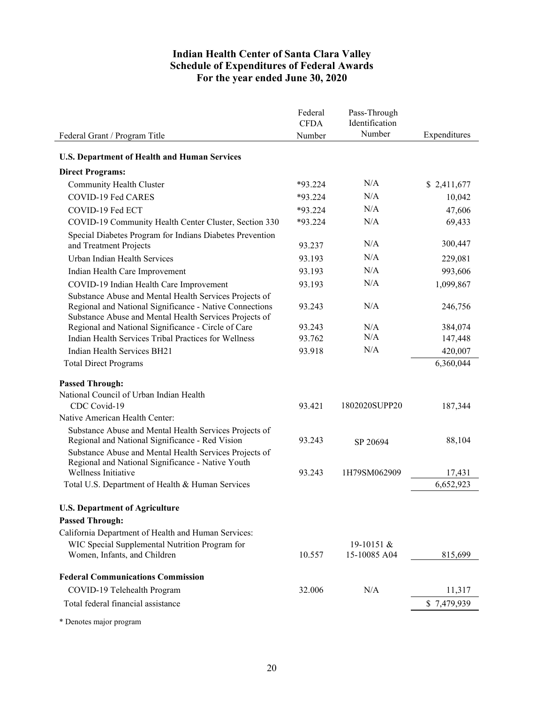# **Indian Health Center of Santa Clara Valley Schedule of Expenditures of Federal Awards For the year ended June 30, 2020**

| Number<br>Expenditures<br>Number<br>Federal Grant / Program Title<br><b>U.S. Department of Health and Human Services</b><br><b>Direct Programs:</b><br>N/A<br>Community Health Cluster<br>$*93.224$<br>\$2,411,677<br>N/A<br>COVID-19 Fed CARES<br>$*93.224$<br>10,042<br>N/A<br>*93.224<br>47,606<br>COVID-19 Fed ECT<br>N/A<br>$*93.224$<br>69,433<br>COVID-19 Community Health Center Cluster, Section 330<br>Special Diabetes Program for Indians Diabetes Prevention<br>N/A<br>300,447<br>and Treatment Projects<br>93.237<br>N/A<br>Urban Indian Health Services<br>93.193<br>229,081<br>N/A<br>93.193<br>993,606<br>Indian Health Care Improvement<br>N/A<br>COVID-19 Indian Health Care Improvement<br>93.193<br>1,099,867<br>Substance Abuse and Mental Health Services Projects of<br>Regional and National Significance - Native Connections<br>N/A<br>246,756<br>93.243<br>Substance Abuse and Mental Health Services Projects of<br>Regional and National Significance - Circle of Care<br>N/A<br>93.243<br>384,074<br>N/A<br>Indian Health Services Tribal Practices for Wellness<br>93.762<br>147,448<br>N/A<br>420,007<br>Indian Health Services BH21<br>93.918<br>6,360,044<br><b>Total Direct Programs</b><br><b>Passed Through:</b><br>National Council of Urban Indian Health<br>CDC Covid-19<br>1802020SUPP20<br>93.421<br>187,344<br>Native American Health Center:<br>Substance Abuse and Mental Health Services Projects of<br>Regional and National Significance - Red Vision<br>93.243<br>88,104<br>SP 20694<br>Substance Abuse and Mental Health Services Projects of<br>Regional and National Significance - Native Youth<br>Wellness Initiative<br>1H79SM062909<br>93.243<br>17,431<br>6,652,923<br>Total U.S. Department of Health & Human Services<br><b>U.S. Department of Agriculture</b><br><b>Passed Through:</b><br>California Department of Health and Human Services:<br>WIC Special Supplemental Nutrition Program for<br>19-10151 &<br>Women, Infants, and Children<br>10.557<br>15-10085 A04<br>815,699<br><b>Federal Communications Commission</b><br>N/A<br>COVID-19 Telehealth Program<br>32.006<br>11,317<br>Total federal financial assistance<br>\$7,479,939 | Federal<br><b>CFDA</b> | Pass-Through<br>Identification |  |
|-------------------------------------------------------------------------------------------------------------------------------------------------------------------------------------------------------------------------------------------------------------------------------------------------------------------------------------------------------------------------------------------------------------------------------------------------------------------------------------------------------------------------------------------------------------------------------------------------------------------------------------------------------------------------------------------------------------------------------------------------------------------------------------------------------------------------------------------------------------------------------------------------------------------------------------------------------------------------------------------------------------------------------------------------------------------------------------------------------------------------------------------------------------------------------------------------------------------------------------------------------------------------------------------------------------------------------------------------------------------------------------------------------------------------------------------------------------------------------------------------------------------------------------------------------------------------------------------------------------------------------------------------------------------------------------------------------------------------------------------------------------------------------------------------------------------------------------------------------------------------------------------------------------------------------------------------------------------------------------------------------------------------------------------------------------------------------------------------------------------------------------------------------------------------------------------------------------|------------------------|--------------------------------|--|
|                                                                                                                                                                                                                                                                                                                                                                                                                                                                                                                                                                                                                                                                                                                                                                                                                                                                                                                                                                                                                                                                                                                                                                                                                                                                                                                                                                                                                                                                                                                                                                                                                                                                                                                                                                                                                                                                                                                                                                                                                                                                                                                                                                                                             |                        |                                |  |
|                                                                                                                                                                                                                                                                                                                                                                                                                                                                                                                                                                                                                                                                                                                                                                                                                                                                                                                                                                                                                                                                                                                                                                                                                                                                                                                                                                                                                                                                                                                                                                                                                                                                                                                                                                                                                                                                                                                                                                                                                                                                                                                                                                                                             |                        |                                |  |
|                                                                                                                                                                                                                                                                                                                                                                                                                                                                                                                                                                                                                                                                                                                                                                                                                                                                                                                                                                                                                                                                                                                                                                                                                                                                                                                                                                                                                                                                                                                                                                                                                                                                                                                                                                                                                                                                                                                                                                                                                                                                                                                                                                                                             |                        |                                |  |
|                                                                                                                                                                                                                                                                                                                                                                                                                                                                                                                                                                                                                                                                                                                                                                                                                                                                                                                                                                                                                                                                                                                                                                                                                                                                                                                                                                                                                                                                                                                                                                                                                                                                                                                                                                                                                                                                                                                                                                                                                                                                                                                                                                                                             |                        |                                |  |
|                                                                                                                                                                                                                                                                                                                                                                                                                                                                                                                                                                                                                                                                                                                                                                                                                                                                                                                                                                                                                                                                                                                                                                                                                                                                                                                                                                                                                                                                                                                                                                                                                                                                                                                                                                                                                                                                                                                                                                                                                                                                                                                                                                                                             |                        |                                |  |
|                                                                                                                                                                                                                                                                                                                                                                                                                                                                                                                                                                                                                                                                                                                                                                                                                                                                                                                                                                                                                                                                                                                                                                                                                                                                                                                                                                                                                                                                                                                                                                                                                                                                                                                                                                                                                                                                                                                                                                                                                                                                                                                                                                                                             |                        |                                |  |
|                                                                                                                                                                                                                                                                                                                                                                                                                                                                                                                                                                                                                                                                                                                                                                                                                                                                                                                                                                                                                                                                                                                                                                                                                                                                                                                                                                                                                                                                                                                                                                                                                                                                                                                                                                                                                                                                                                                                                                                                                                                                                                                                                                                                             |                        |                                |  |
|                                                                                                                                                                                                                                                                                                                                                                                                                                                                                                                                                                                                                                                                                                                                                                                                                                                                                                                                                                                                                                                                                                                                                                                                                                                                                                                                                                                                                                                                                                                                                                                                                                                                                                                                                                                                                                                                                                                                                                                                                                                                                                                                                                                                             |                        |                                |  |
|                                                                                                                                                                                                                                                                                                                                                                                                                                                                                                                                                                                                                                                                                                                                                                                                                                                                                                                                                                                                                                                                                                                                                                                                                                                                                                                                                                                                                                                                                                                                                                                                                                                                                                                                                                                                                                                                                                                                                                                                                                                                                                                                                                                                             |                        |                                |  |
|                                                                                                                                                                                                                                                                                                                                                                                                                                                                                                                                                                                                                                                                                                                                                                                                                                                                                                                                                                                                                                                                                                                                                                                                                                                                                                                                                                                                                                                                                                                                                                                                                                                                                                                                                                                                                                                                                                                                                                                                                                                                                                                                                                                                             |                        |                                |  |
|                                                                                                                                                                                                                                                                                                                                                                                                                                                                                                                                                                                                                                                                                                                                                                                                                                                                                                                                                                                                                                                                                                                                                                                                                                                                                                                                                                                                                                                                                                                                                                                                                                                                                                                                                                                                                                                                                                                                                                                                                                                                                                                                                                                                             |                        |                                |  |
|                                                                                                                                                                                                                                                                                                                                                                                                                                                                                                                                                                                                                                                                                                                                                                                                                                                                                                                                                                                                                                                                                                                                                                                                                                                                                                                                                                                                                                                                                                                                                                                                                                                                                                                                                                                                                                                                                                                                                                                                                                                                                                                                                                                                             |                        |                                |  |
|                                                                                                                                                                                                                                                                                                                                                                                                                                                                                                                                                                                                                                                                                                                                                                                                                                                                                                                                                                                                                                                                                                                                                                                                                                                                                                                                                                                                                                                                                                                                                                                                                                                                                                                                                                                                                                                                                                                                                                                                                                                                                                                                                                                                             |                        |                                |  |
|                                                                                                                                                                                                                                                                                                                                                                                                                                                                                                                                                                                                                                                                                                                                                                                                                                                                                                                                                                                                                                                                                                                                                                                                                                                                                                                                                                                                                                                                                                                                                                                                                                                                                                                                                                                                                                                                                                                                                                                                                                                                                                                                                                                                             |                        |                                |  |
|                                                                                                                                                                                                                                                                                                                                                                                                                                                                                                                                                                                                                                                                                                                                                                                                                                                                                                                                                                                                                                                                                                                                                                                                                                                                                                                                                                                                                                                                                                                                                                                                                                                                                                                                                                                                                                                                                                                                                                                                                                                                                                                                                                                                             |                        |                                |  |
|                                                                                                                                                                                                                                                                                                                                                                                                                                                                                                                                                                                                                                                                                                                                                                                                                                                                                                                                                                                                                                                                                                                                                                                                                                                                                                                                                                                                                                                                                                                                                                                                                                                                                                                                                                                                                                                                                                                                                                                                                                                                                                                                                                                                             |                        |                                |  |
|                                                                                                                                                                                                                                                                                                                                                                                                                                                                                                                                                                                                                                                                                                                                                                                                                                                                                                                                                                                                                                                                                                                                                                                                                                                                                                                                                                                                                                                                                                                                                                                                                                                                                                                                                                                                                                                                                                                                                                                                                                                                                                                                                                                                             |                        |                                |  |
|                                                                                                                                                                                                                                                                                                                                                                                                                                                                                                                                                                                                                                                                                                                                                                                                                                                                                                                                                                                                                                                                                                                                                                                                                                                                                                                                                                                                                                                                                                                                                                                                                                                                                                                                                                                                                                                                                                                                                                                                                                                                                                                                                                                                             |                        |                                |  |
|                                                                                                                                                                                                                                                                                                                                                                                                                                                                                                                                                                                                                                                                                                                                                                                                                                                                                                                                                                                                                                                                                                                                                                                                                                                                                                                                                                                                                                                                                                                                                                                                                                                                                                                                                                                                                                                                                                                                                                                                                                                                                                                                                                                                             |                        |                                |  |
|                                                                                                                                                                                                                                                                                                                                                                                                                                                                                                                                                                                                                                                                                                                                                                                                                                                                                                                                                                                                                                                                                                                                                                                                                                                                                                                                                                                                                                                                                                                                                                                                                                                                                                                                                                                                                                                                                                                                                                                                                                                                                                                                                                                                             |                        |                                |  |
|                                                                                                                                                                                                                                                                                                                                                                                                                                                                                                                                                                                                                                                                                                                                                                                                                                                                                                                                                                                                                                                                                                                                                                                                                                                                                                                                                                                                                                                                                                                                                                                                                                                                                                                                                                                                                                                                                                                                                                                                                                                                                                                                                                                                             |                        |                                |  |
|                                                                                                                                                                                                                                                                                                                                                                                                                                                                                                                                                                                                                                                                                                                                                                                                                                                                                                                                                                                                                                                                                                                                                                                                                                                                                                                                                                                                                                                                                                                                                                                                                                                                                                                                                                                                                                                                                                                                                                                                                                                                                                                                                                                                             |                        |                                |  |
|                                                                                                                                                                                                                                                                                                                                                                                                                                                                                                                                                                                                                                                                                                                                                                                                                                                                                                                                                                                                                                                                                                                                                                                                                                                                                                                                                                                                                                                                                                                                                                                                                                                                                                                                                                                                                                                                                                                                                                                                                                                                                                                                                                                                             |                        |                                |  |
|                                                                                                                                                                                                                                                                                                                                                                                                                                                                                                                                                                                                                                                                                                                                                                                                                                                                                                                                                                                                                                                                                                                                                                                                                                                                                                                                                                                                                                                                                                                                                                                                                                                                                                                                                                                                                                                                                                                                                                                                                                                                                                                                                                                                             |                        |                                |  |
|                                                                                                                                                                                                                                                                                                                                                                                                                                                                                                                                                                                                                                                                                                                                                                                                                                                                                                                                                                                                                                                                                                                                                                                                                                                                                                                                                                                                                                                                                                                                                                                                                                                                                                                                                                                                                                                                                                                                                                                                                                                                                                                                                                                                             |                        |                                |  |
|                                                                                                                                                                                                                                                                                                                                                                                                                                                                                                                                                                                                                                                                                                                                                                                                                                                                                                                                                                                                                                                                                                                                                                                                                                                                                                                                                                                                                                                                                                                                                                                                                                                                                                                                                                                                                                                                                                                                                                                                                                                                                                                                                                                                             |                        |                                |  |
|                                                                                                                                                                                                                                                                                                                                                                                                                                                                                                                                                                                                                                                                                                                                                                                                                                                                                                                                                                                                                                                                                                                                                                                                                                                                                                                                                                                                                                                                                                                                                                                                                                                                                                                                                                                                                                                                                                                                                                                                                                                                                                                                                                                                             |                        |                                |  |
|                                                                                                                                                                                                                                                                                                                                                                                                                                                                                                                                                                                                                                                                                                                                                                                                                                                                                                                                                                                                                                                                                                                                                                                                                                                                                                                                                                                                                                                                                                                                                                                                                                                                                                                                                                                                                                                                                                                                                                                                                                                                                                                                                                                                             |                        |                                |  |
|                                                                                                                                                                                                                                                                                                                                                                                                                                                                                                                                                                                                                                                                                                                                                                                                                                                                                                                                                                                                                                                                                                                                                                                                                                                                                                                                                                                                                                                                                                                                                                                                                                                                                                                                                                                                                                                                                                                                                                                                                                                                                                                                                                                                             |                        |                                |  |
|                                                                                                                                                                                                                                                                                                                                                                                                                                                                                                                                                                                                                                                                                                                                                                                                                                                                                                                                                                                                                                                                                                                                                                                                                                                                                                                                                                                                                                                                                                                                                                                                                                                                                                                                                                                                                                                                                                                                                                                                                                                                                                                                                                                                             |                        |                                |  |
|                                                                                                                                                                                                                                                                                                                                                                                                                                                                                                                                                                                                                                                                                                                                                                                                                                                                                                                                                                                                                                                                                                                                                                                                                                                                                                                                                                                                                                                                                                                                                                                                                                                                                                                                                                                                                                                                                                                                                                                                                                                                                                                                                                                                             |                        |                                |  |
|                                                                                                                                                                                                                                                                                                                                                                                                                                                                                                                                                                                                                                                                                                                                                                                                                                                                                                                                                                                                                                                                                                                                                                                                                                                                                                                                                                                                                                                                                                                                                                                                                                                                                                                                                                                                                                                                                                                                                                                                                                                                                                                                                                                                             |                        |                                |  |
|                                                                                                                                                                                                                                                                                                                                                                                                                                                                                                                                                                                                                                                                                                                                                                                                                                                                                                                                                                                                                                                                                                                                                                                                                                                                                                                                                                                                                                                                                                                                                                                                                                                                                                                                                                                                                                                                                                                                                                                                                                                                                                                                                                                                             |                        |                                |  |
|                                                                                                                                                                                                                                                                                                                                                                                                                                                                                                                                                                                                                                                                                                                                                                                                                                                                                                                                                                                                                                                                                                                                                                                                                                                                                                                                                                                                                                                                                                                                                                                                                                                                                                                                                                                                                                                                                                                                                                                                                                                                                                                                                                                                             |                        |                                |  |

\* Denotes major program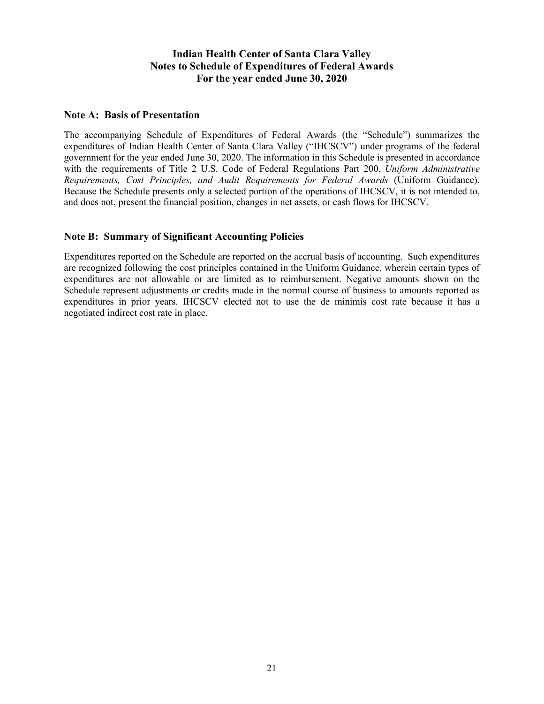# **Indian Health Center of Santa Clara Valley Notes to Schedule of Expenditures of Federal Awards For the year ended June 30, 2020**

#### **Note A: Basis of Presentation**

The accompanying Schedule of Expenditures of Federal Awards (the "Schedule") summarizes the expenditures of Indian Health Center of Santa Clara Valley ("IHCSCV") under programs of the federal government for the year ended June 30, 2020. The information in this Schedule is presented in accordance with the requirements of Title 2 U.S. Code of Federal Regulations Part 200, *Uniform Administrative Requirements, Cost Principles, and Audit Requirements for Federal Awards* (Uniform Guidance). Because the Schedule presents only a selected portion of the operations of IHCSCV, it is not intended to, and does not, present the financial position, changes in net assets, or cash flows for IHCSCV.

## **Note B: Summary of Significant Accounting Policies**

Expenditures reported on the Schedule are reported on the accrual basis of accounting. Such expenditures are recognized following the cost principles contained in the Uniform Guidance, wherein certain types of expenditures are not allowable or are limited as to reimbursement. Negative amounts shown on the Schedule represent adjustments or credits made in the normal course of business to amounts reported as expenditures in prior years. IHCSCV elected not to use the de minimis cost rate because it has a negotiated indirect cost rate in place.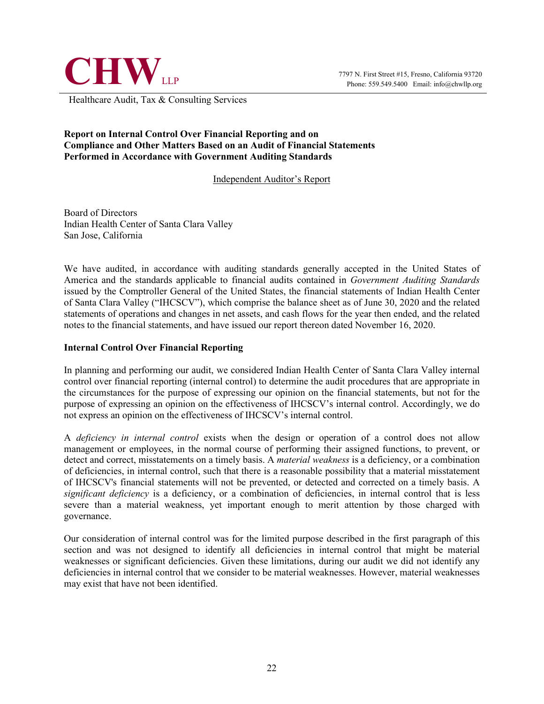

Healthcare Audit, Tax & Consulting Services

#### **Report on Internal Control Over Financial Reporting and on Compliance and Other Matters Based on an Audit of Financial Statements Performed in Accordance with Government Auditing Standards**

#### Independent Auditor's Report

Board of Directors Indian Health Center of Santa Clara Valley San Jose, California

We have audited, in accordance with auditing standards generally accepted in the United States of America and the standards applicable to financial audits contained in *Government Auditing Standards*  issued by the Comptroller General of the United States, the financial statements of Indian Health Center of Santa Clara Valley ("IHCSCV"), which comprise the balance sheet as of June 30, 2020 and the related statements of operations and changes in net assets, and cash flows for the year then ended, and the related notes to the financial statements, and have issued our report thereon dated November 16, 2020.

#### **Internal Control Over Financial Reporting**

In planning and performing our audit, we considered Indian Health Center of Santa Clara Valley internal control over financial reporting (internal control) to determine the audit procedures that are appropriate in the circumstances for the purpose of expressing our opinion on the financial statements, but not for the purpose of expressing an opinion on the effectiveness of IHCSCV's internal control. Accordingly, we do not express an opinion on the effectiveness of IHCSCV's internal control.

A *deficiency in internal control* exists when the design or operation of a control does not allow management or employees, in the normal course of performing their assigned functions, to prevent, or detect and correct, misstatements on a timely basis. A *material weakness* is a deficiency, or a combination of deficiencies, in internal control, such that there is a reasonable possibility that a material misstatement of IHCSCV's financial statements will not be prevented, or detected and corrected on a timely basis. A *significant deficiency* is a deficiency, or a combination of deficiencies, in internal control that is less severe than a material weakness, yet important enough to merit attention by those charged with governance.

Our consideration of internal control was for the limited purpose described in the first paragraph of this section and was not designed to identify all deficiencies in internal control that might be material weaknesses or significant deficiencies. Given these limitations, during our audit we did not identify any deficiencies in internal control that we consider to be material weaknesses. However, material weaknesses may exist that have not been identified.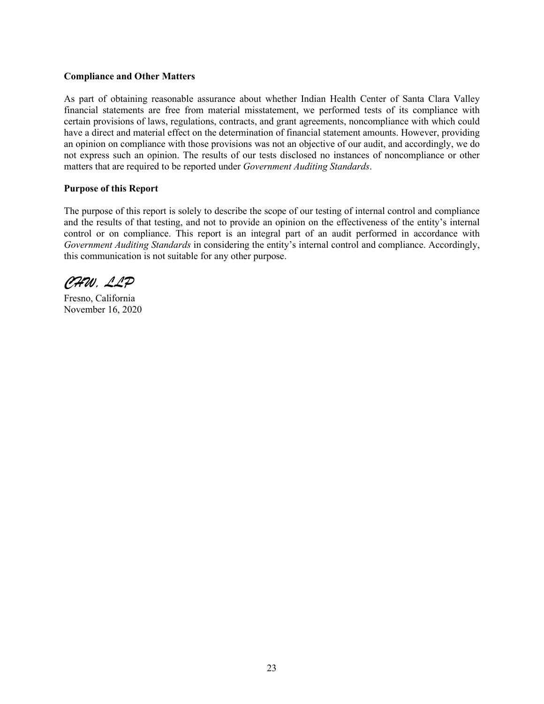#### **Compliance and Other Matters**

As part of obtaining reasonable assurance about whether Indian Health Center of Santa Clara Valley financial statements are free from material misstatement, we performed tests of its compliance with certain provisions of laws, regulations, contracts, and grant agreements, noncompliance with which could have a direct and material effect on the determination of financial statement amounts. However, providing an opinion on compliance with those provisions was not an objective of our audit, and accordingly, we do not express such an opinion. The results of our tests disclosed no instances of noncompliance or other matters that are required to be reported under *Government Auditing Standards*.

#### **Purpose of this Report**

The purpose of this report is solely to describe the scope of our testing of internal control and compliance and the results of that testing, and not to provide an opinion on the effectiveness of the entity's internal control or on compliance. This report is an integral part of an audit performed in accordance with *Government Auditing Standards* in considering the entity's internal control and compliance. Accordingly, this communication is not suitable for any other purpose.

*CHW, LLP*

Fresno, California November 16, 2020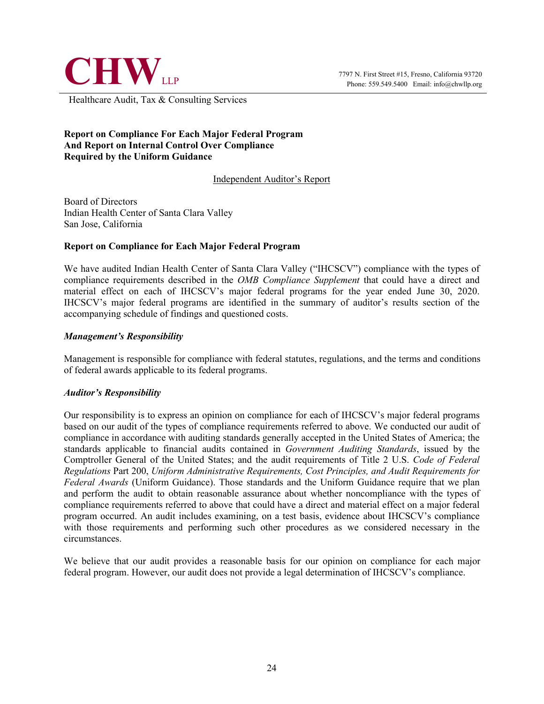

Healthcare Audit, Tax & Consulting Services

## **Report on Compliance For Each Major Federal Program And Report on Internal Control Over Compliance Required by the Uniform Guidance**

Independent Auditor's Report

Board of Directors Indian Health Center of Santa Clara Valley San Jose, California

## **Report on Compliance for Each Major Federal Program**

We have audited Indian Health Center of Santa Clara Valley ("IHCSCV") compliance with the types of compliance requirements described in the *OMB Compliance Supplement* that could have a direct and material effect on each of IHCSCV's major federal programs for the year ended June 30, 2020. IHCSCV's major federal programs are identified in the summary of auditor's results section of the accompanying schedule of findings and questioned costs.

## *Management's Responsibility*

Management is responsible for compliance with federal statutes, regulations, and the terms and conditions of federal awards applicable to its federal programs.

#### *Auditor's Responsibility*

Our responsibility is to express an opinion on compliance for each of IHCSCV's major federal programs based on our audit of the types of compliance requirements referred to above. We conducted our audit of compliance in accordance with auditing standards generally accepted in the United States of America; the standards applicable to financial audits contained in *Government Auditing Standards*, issued by the Comptroller General of the United States; and the audit requirements of Title 2 U.S. *Code of Federal Regulations* Part 200, *Uniform Administrative Requirements, Cost Principles, and Audit Requirements for Federal Awards* (Uniform Guidance). Those standards and the Uniform Guidance require that we plan and perform the audit to obtain reasonable assurance about whether noncompliance with the types of compliance requirements referred to above that could have a direct and material effect on a major federal program occurred. An audit includes examining, on a test basis, evidence about IHCSCV's compliance with those requirements and performing such other procedures as we considered necessary in the circumstances.

We believe that our audit provides a reasonable basis for our opinion on compliance for each major federal program. However, our audit does not provide a legal determination of IHCSCV's compliance.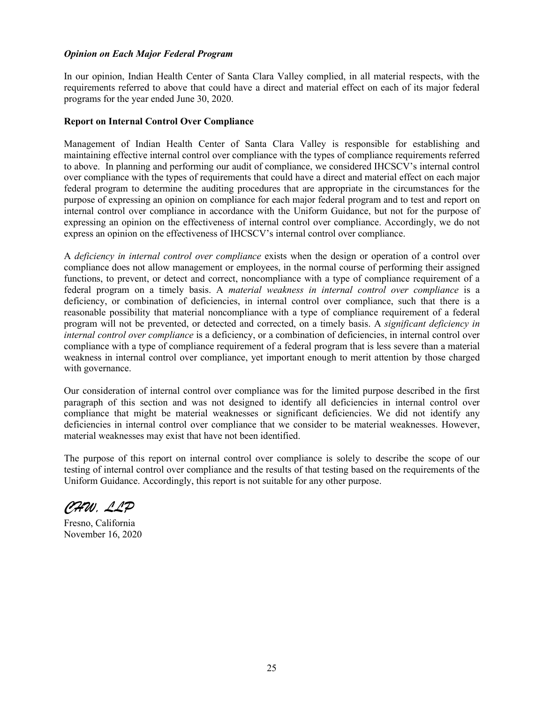#### *Opinion on Each Major Federal Program*

In our opinion, Indian Health Center of Santa Clara Valley complied, in all material respects, with the requirements referred to above that could have a direct and material effect on each of its major federal programs for the year ended June 30, 2020.

#### **Report on Internal Control Over Compliance**

Management of Indian Health Center of Santa Clara Valley is responsible for establishing and maintaining effective internal control over compliance with the types of compliance requirements referred to above. In planning and performing our audit of compliance, we considered IHCSCV's internal control over compliance with the types of requirements that could have a direct and material effect on each major federal program to determine the auditing procedures that are appropriate in the circumstances for the purpose of expressing an opinion on compliance for each major federal program and to test and report on internal control over compliance in accordance with the Uniform Guidance, but not for the purpose of expressing an opinion on the effectiveness of internal control over compliance. Accordingly, we do not express an opinion on the effectiveness of IHCSCV's internal control over compliance.

A *deficiency in internal control over compliance* exists when the design or operation of a control over compliance does not allow management or employees, in the normal course of performing their assigned functions, to prevent, or detect and correct, noncompliance with a type of compliance requirement of a federal program on a timely basis. A *material weakness in internal control over compliance* is a deficiency, or combination of deficiencies, in internal control over compliance, such that there is a reasonable possibility that material noncompliance with a type of compliance requirement of a federal program will not be prevented, or detected and corrected, on a timely basis. A *significant deficiency in internal control over compliance* is a deficiency, or a combination of deficiencies, in internal control over compliance with a type of compliance requirement of a federal program that is less severe than a material weakness in internal control over compliance, yet important enough to merit attention by those charged with governance.

Our consideration of internal control over compliance was for the limited purpose described in the first paragraph of this section and was not designed to identify all deficiencies in internal control over compliance that might be material weaknesses or significant deficiencies. We did not identify any deficiencies in internal control over compliance that we consider to be material weaknesses. However, material weaknesses may exist that have not been identified.

The purpose of this report on internal control over compliance is solely to describe the scope of our testing of internal control over compliance and the results of that testing based on the requirements of the Uniform Guidance. Accordingly, this report is not suitable for any other purpose.

*CHW, LLP*

Fresno, California November 16, 2020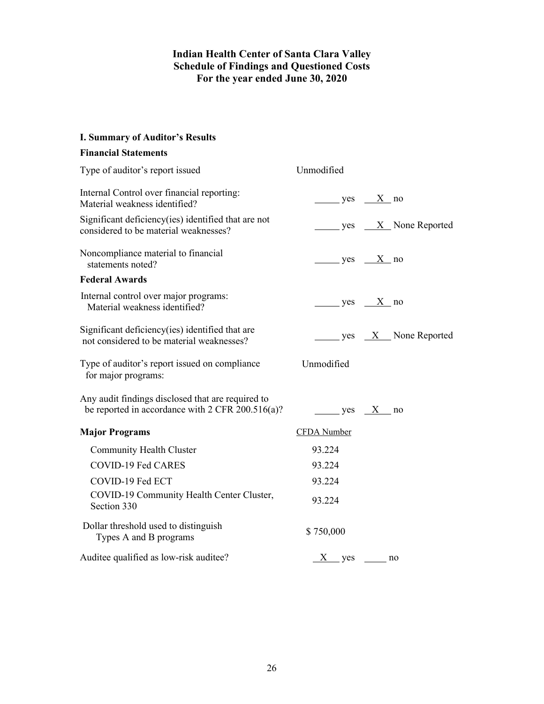# **Indian Health Center of Santa Clara Valley Schedule of Findings and Questioned Costs For the year ended June 30, 2020**

# **I. Summary of Auditor's Results**

# **Financial Statements**

| Type of auditor's report issued                                                                         | Unmodified         |                                               |
|---------------------------------------------------------------------------------------------------------|--------------------|-----------------------------------------------|
| Internal Control over financial reporting:<br>Material weakness identified?                             | $yes$ X no         |                                               |
| Significant deficiency(ies) identified that are not<br>considered to be material weaknesses?            |                    | $\frac{1}{1}$ yes $\frac{X}{X}$ None Reported |
| Noncompliance material to financial<br>statements noted?                                                | $yes \tX no$       |                                               |
| <b>Federal Awards</b>                                                                                   |                    |                                               |
| Internal control over major programs:<br>Material weakness identified?                                  | $yes$ $X no$       |                                               |
| Significant deficiency(ies) identified that are<br>not considered to be material weaknesses?            |                    | $\frac{1}{1}$ yes $\frac{X}{X}$ None Reported |
| Type of auditor's report issued on compliance<br>for major programs:                                    | Unmodified         |                                               |
| Any audit findings disclosed that are required to<br>be reported in accordance with $2$ CFR 200.516(a)? |                    | $yes \t X$ no                                 |
| <b>Major Programs</b>                                                                                   | <b>CFDA</b> Number |                                               |
| <b>Community Health Cluster</b>                                                                         | 93.224             |                                               |
| <b>COVID-19 Fed CARES</b>                                                                               | 93.224             |                                               |
| COVID-19 Fed ECT                                                                                        | 93.224             |                                               |
| COVID-19 Community Health Center Cluster,<br>Section 330                                                | 93.224             |                                               |
| Dollar threshold used to distinguish<br>Types A and B programs                                          | \$750,000          |                                               |
| Auditee qualified as low-risk auditee?                                                                  | $X$ yes no         |                                               |